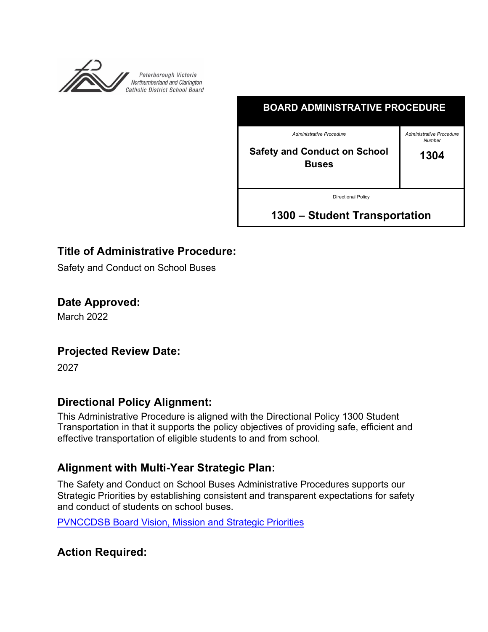

| <b>BOARD ADMINISTRATIVE PROCEDURE</b>                      |                                           |
|------------------------------------------------------------|-------------------------------------------|
| Administrative Procedure                                   | <b>Administrative Procedure</b><br>Number |
| <b>Safety and Conduct on School</b><br><b>Buses</b>        | 1304                                      |
| <b>Directional Policy</b><br>1300 - Student Transportation |                                           |

# **Title of Administrative Procedure:**

Safety and Conduct on School Buses

**Date Approved:**

March 2022

## **Projected Review Date:**

2027

## **Directional Policy Alignment:**

This Administrative Procedure is aligned with the Directional Policy 1300 Student Transportation in that it supports the policy objectives of providing safe, efficient and effective transportation of eligible students to and from school.

## **Alignment with Multi-Year Strategic Plan:**

The Safety and Conduct on School Buses Administrative Procedures supports our Strategic Priorities by establishing consistent and transparent expectations for safety and conduct of students on school buses.

PVNCCDSB Board Vision, Mission and Strategic Priorities

**Action Required:**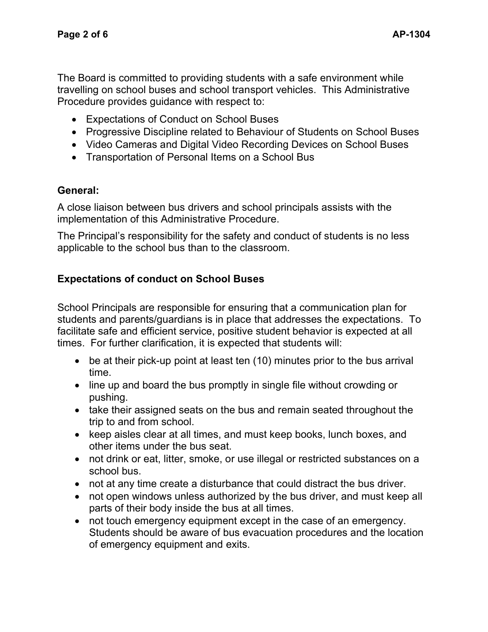The Board is committed to providing students with a safe environment while travelling on school buses and school transport vehicles. This Administrative Procedure provides guidance with respect to:

- Expectations of Conduct on School Buses
- Progressive Discipline related to Behaviour of Students on School Buses
- Video Cameras and Digital Video Recording Devices on School Buses
- Transportation of Personal Items on a School Bus

## **General:**

A close liaison between bus drivers and school principals assists with the implementation of this Administrative Procedure.

The Principal's responsibility for the safety and conduct of students is no less applicable to the school bus than to the classroom.

## **Expectations of conduct on School Buses**

School Principals are responsible for ensuring that a communication plan for students and parents/guardians is in place that addresses the expectations. To facilitate safe and efficient service, positive student behavior is expected at all times. For further clarification, it is expected that students will:

- be at their pick-up point at least ten (10) minutes prior to the bus arrival time.
- line up and board the bus promptly in single file without crowding or pushing.
- take their assigned seats on the bus and remain seated throughout the trip to and from school.
- keep aisles clear at all times, and must keep books, lunch boxes, and other items under the bus seat.
- not drink or eat, litter, smoke, or use illegal or restricted substances on a school bus.
- not at any time create a disturbance that could distract the bus driver.
- not open windows unless authorized by the bus driver, and must keep all parts of their body inside the bus at all times.
- not touch emergency equipment except in the case of an emergency. Students should be aware of bus evacuation procedures and the location of emergency equipment and exits.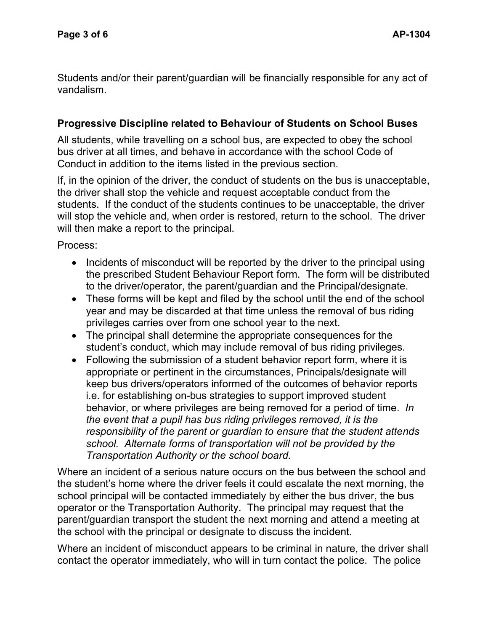Students and/or their parent/guardian will be financially responsible for any act of vandalism.

## **Progressive Discipline related to Behaviour of Students on School Buses**

All students, while travelling on a school bus, are expected to obey the school bus driver at all times, and behave in accordance with the school Code of Conduct in addition to the items listed in the previous section.

If, in the opinion of the driver, the conduct of students on the bus is unacceptable, the driver shall stop the vehicle and request acceptable conduct from the students. If the conduct of the students continues to be unacceptable, the driver will stop the vehicle and, when order is restored, return to the school. The driver will then make a report to the principal.

Process:

- Incidents of misconduct will be reported by the driver to the principal using the prescribed Student Behaviour Report form. The form will be distributed to the driver/operator, the parent/guardian and the Principal/designate.
- These forms will be kept and filed by the school until the end of the school year and may be discarded at that time unless the removal of bus riding privileges carries over from one school year to the next.
- The principal shall determine the appropriate consequences for the student's conduct, which may include removal of bus riding privileges.
- Following the submission of a student behavior report form, where it is appropriate or pertinent in the circumstances, Principals/designate will keep bus drivers/operators informed of the outcomes of behavior reports i.e. for establishing on-bus strategies to support improved student behavior, or where privileges are being removed for a period of time. *In the event that a pupil has bus riding privileges removed, it is the responsibility of the parent or guardian to ensure that the student attends school. Alternate forms of transportation will not be provided by the Transportation Authority or the school board.*

Where an incident of a serious nature occurs on the bus between the school and the student's home where the driver feels it could escalate the next morning, the school principal will be contacted immediately by either the bus driver, the bus operator or the Transportation Authority. The principal may request that the parent/guardian transport the student the next morning and attend a meeting at the school with the principal or designate to discuss the incident.

Where an incident of misconduct appears to be criminal in nature, the driver shall contact the operator immediately, who will in turn contact the police. The police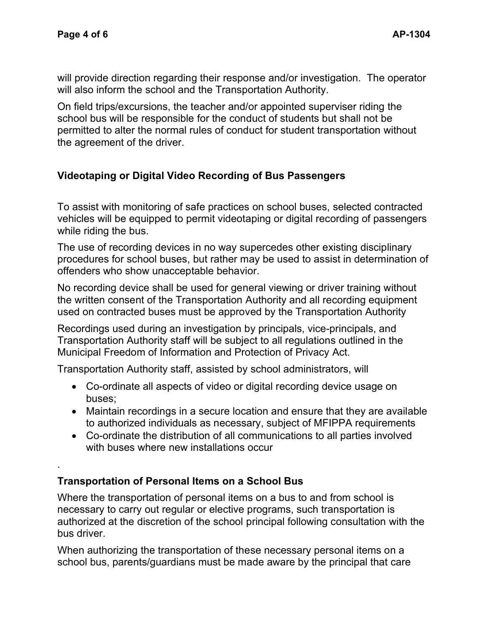.

will provide direction regarding their response and/or investigation. The operator will also inform the school and the Transportation Authority.

On field trips/excursions, the teacher and/or appointed superviser riding the school bus will be responsible for the conduct of students but shall not be permitted to alter the normal rules of conduct for student transportation without the agreement of the driver.

## **Videotaping or Digital Video Recording of Bus Passengers**

To assist with monitoring of safe practices on school buses, selected contracted vehicles will be equipped to permit videotaping or digital recording of passengers while riding the bus.

The use of recording devices in no way supercedes other existing disciplinary procedures for school buses, but rather may be used to assist in determination of offenders who show unacceptable behavior.

No recording device shall be used for general viewing or driver training without the written consent of the Transportation Authority and all recording equipment used on contracted buses must be approved by the Transportation Authority

Recordings used during an investigation by principals, vice-principals, and Transportation Authority staff will be subject to all regulations outlined in the Municipal Freedom of Information and Protection of Privacy Act.

Transportation Authority staff, assisted by school administrators, will

- Co-ordinate all aspects of video or digital recording device usage on buses;
- Maintain recordings in a secure location and ensure that they are available to authorized individuals as necessary, subject of MFIPPA requirements
- Co-ordinate the distribution of all communications to all parties involved with buses where new installations occur

## **Transportation of Personal Items on a School Bus**

Where the transportation of personal items on a bus to and from school is necessary to carry out regular or elective programs, such transportation is authorized at the discretion of the school principal following consultation with the bus driver.

When authorizing the transportation of these necessary personal items on a school bus, parents/guardians must be made aware by the principal that care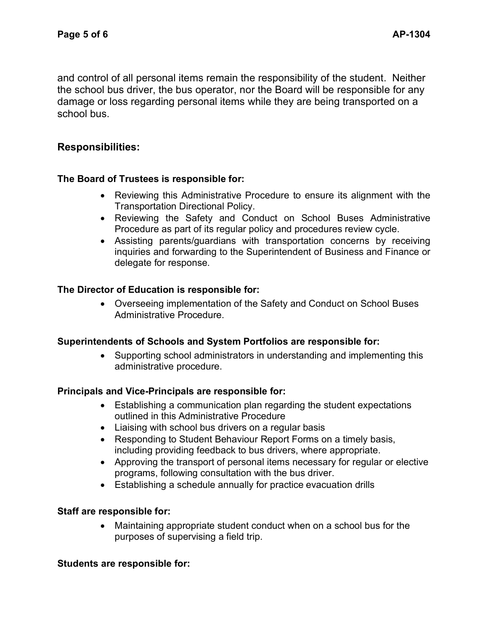and control of all personal items remain the responsibility of the student. Neither the school bus driver, the bus operator, nor the Board will be responsible for any damage or loss regarding personal items while they are being transported on a school bus.

### **Responsibilities:**

#### **The Board of Trustees is responsible for:**

- Reviewing this Administrative Procedure to ensure its alignment with the Transportation Directional Policy.
- Reviewing the Safety and Conduct on School Buses Administrative Procedure as part of its regular policy and procedures review cycle.
- Assisting parents/guardians with transportation concerns by receiving inquiries and forwarding to the Superintendent of Business and Finance or delegate for response.

#### **The Director of Education is responsible for:**

• Overseeing implementation of the Safety and Conduct on School Buses Administrative Procedure.

#### **Superintendents of Schools and System Portfolios are responsible for:**

• Supporting school administrators in understanding and implementing this administrative procedure.

#### **Principals and Vice-Principals are responsible for:**

- Establishing a communication plan regarding the student expectations outlined in this Administrative Procedure
- Liaising with school bus drivers on a regular basis
- Responding to Student Behaviour Report Forms on a timely basis, including providing feedback to bus drivers, where appropriate.
- Approving the transport of personal items necessary for regular or elective programs, following consultation with the bus driver.
- Establishing a schedule annually for practice evacuation drills

#### **Staff are responsible for:**

• Maintaining appropriate student conduct when on a school bus for the purposes of supervising a field trip.

#### **Students are responsible for:**